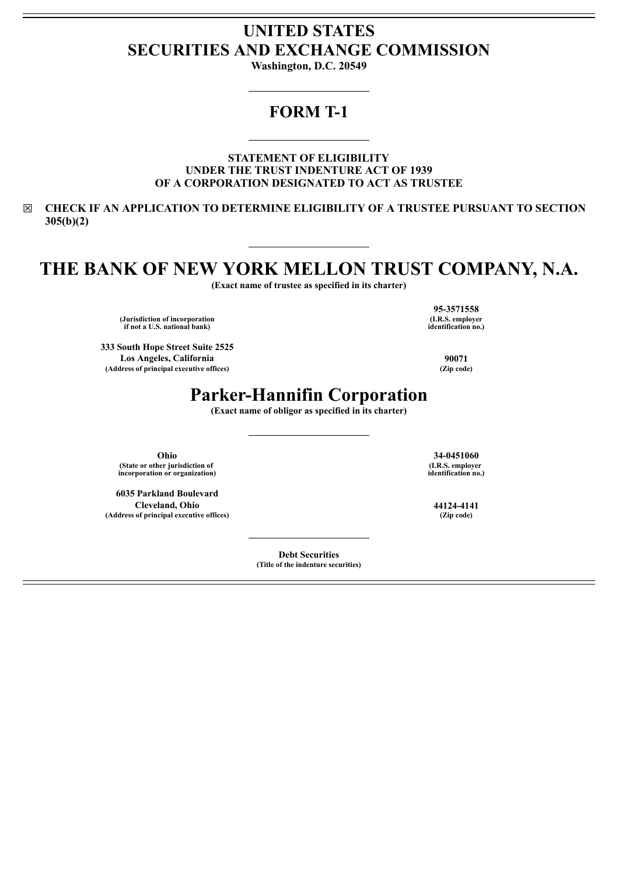# **UNITED STATES SECURITIES AND EXCHANGE COMMISSION**

**Washington, D.C. 20549**

### **FORM T-1**

**STATEMENT OF ELIGIBILITY UNDER THE TRUST INDENTURE ACT OF 1939 OF A CORPORATION DESIGNATED TO ACT AS TRUSTEE**

☒ **CHECK IF AN APPLICATION TO DETERMINE ELIGIBILITY OF A TRUSTEE PURSUANT TO SECTION 305(b)(2)**

# **THE BANK OF NEW YORK MELLON TRUST COMPANY, N.A.**

**(Exact name of trustee as specified in its charter)**

**(Jurisdiction of incorporation if not a U.S. national bank)**

**333 South Hope Street Suite 2525 Los Angeles, California 90071 (Address of principal executive offices) (Zip code)**

**(I.R.S. employer identification no.)**

**95-3571558**

## **Parker-Hannifin Corporation**

**(Exact name of obligor as specified in its charter)**

**Ohio 34-0451060 (State or other jurisdiction of incorporation or organization)**

**6035 Parkland Boulevard Cleveland, Ohio 44124-4141 (Address of principal executive offices) (Zip code)**

> **Debt Securities (Title of the indenture securities)**

**(I.R.S. employer identification no.)**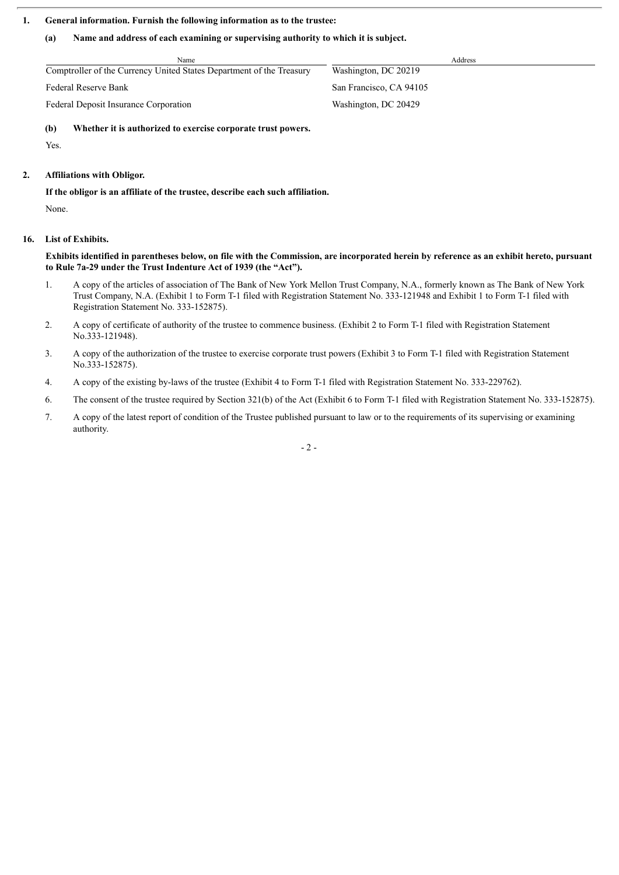#### **1. General information. Furnish the following information as to the trustee:**

#### **(a) Name and address of each examining or supervising authority to which it is subject.**

Name Address and Address and Address and Address and Address and Address and Address and Address and Address and Address and Address and Address and Address and Address and Address and Address and Address and Address and A Comptroller of the Currency United States Department of the Treasury Washington, DC 20219 Federal Reserve Bank San Francisco, CA 94105

Federal Deposit Insurance Corporation Washington, DC 20429

**(b) Whether it is authorized to exercise corporate trust powers.**

Yes.

#### **2. Affiliations with Obligor.**

**If the obligor is an affiliate of the trustee, describe each such affiliation.**

None.

#### **16. List of Exhibits.**

Exhibits identified in parentheses below, on file with the Commission, are incorporated herein by reference as an exhibit hereto, pursuant **to Rule 7a-29 under the Trust Indenture Act of 1939 (the "Act").**

- 1. A copy of the articles of association of The Bank of New York Mellon Trust Company, N.A., formerly known as The Bank of New York Trust Company, N.A. (Exhibit 1 to Form T-1 filed with Registration Statement No. 333-121948 and Exhibit 1 to Form T-1 filed with Registration Statement No. 333-152875).
- 2. A copy of certificate of authority of the trustee to commence business. (Exhibit 2 to Form T-1 filed with Registration Statement No.333-121948).
- 3. A copy of the authorization of the trustee to exercise corporate trust powers (Exhibit 3 to Form T-1 filed with Registration Statement No.333-152875).
- 4. A copy of the existing by-laws of the trustee (Exhibit 4 to Form T-1 filed with Registration Statement No. 333-229762).
- 6. The consent of the trustee required by Section 321(b) of the Act (Exhibit 6 to Form T-1 filed with Registration Statement No. 333-152875).
- 7. A copy of the latest report of condition of the Trustee published pursuant to law or to the requirements of its supervising or examining authority.

 $- 2 -$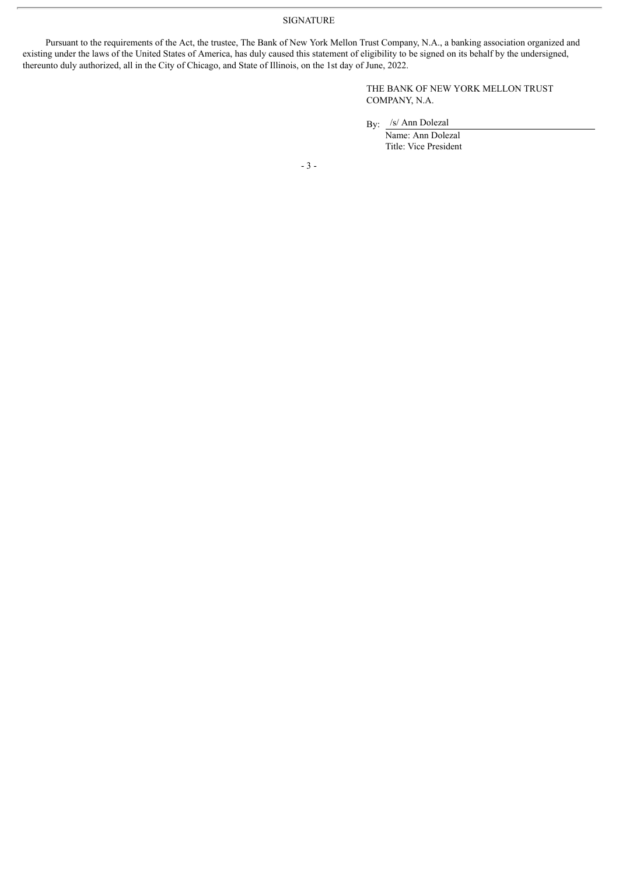SIGNATURE

Pursuant to the requirements of the Act, the trustee, The Bank of New York Mellon Trust Company, N.A., a banking association organized and existing under the laws of the United States of America, has duly caused this statement of eligibility to be signed on its behalf by the undersigned, thereunto duly authorized, all in the City of Chicago, and State of Illinois, on the 1st day of June, 2022.

> THE BANK OF NEW YORK MELLON TRUST COMPANY, N.A.

By: /s/ Ann Dolezal

Name: Ann Dolezal Title: Vice President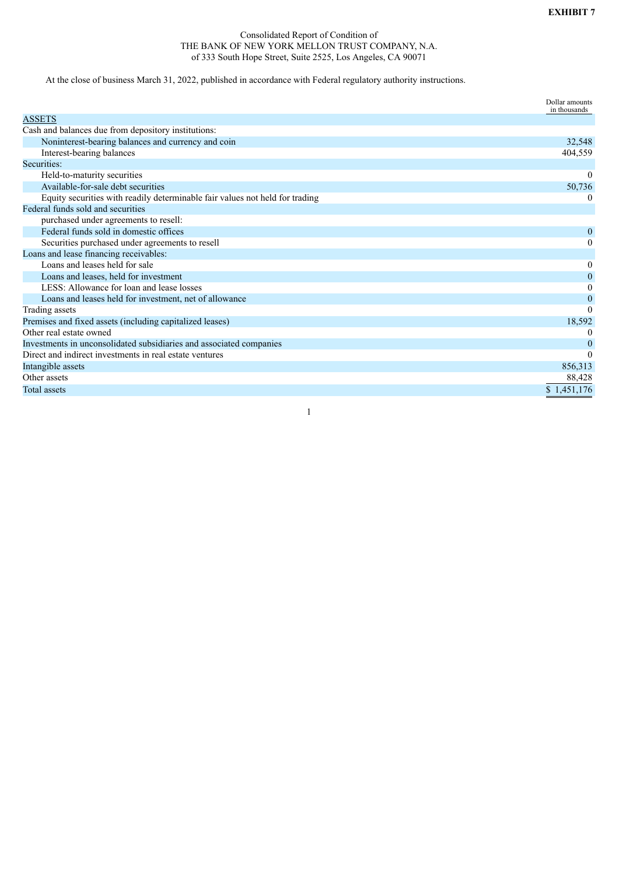#### Consolidated Report of Condition of THE BANK OF NEW YORK MELLON TRUST COMPANY, N.A. of 333 South Hope Street, Suite 2525, Los Angeles, CA 90071

At the close of business March 31, 2022, published in accordance with Federal regulatory authority instructions.

|                                                                              | Dollar amounts<br>in thousands |
|------------------------------------------------------------------------------|--------------------------------|
| <b>ASSETS</b>                                                                |                                |
| Cash and balances due from depository institutions:                          |                                |
| Noninterest-bearing balances and currency and coin                           | 32,548                         |
| Interest-bearing balances                                                    | 404,559                        |
| Securities:                                                                  |                                |
| Held-to-maturity securities                                                  | $\theta$                       |
| Available-for-sale debt securities                                           | 50,736                         |
| Equity securities with readily determinable fair values not held for trading | $\theta$                       |
| Federal funds sold and securities                                            |                                |
| purchased under agreements to resell:                                        |                                |
| Federal funds sold in domestic offices                                       | $\overline{0}$                 |
| Securities purchased under agreements to resell                              | $\mathbf{0}$                   |
| Loans and lease financing receivables:                                       |                                |
| Loans and leases held for sale                                               | $\boldsymbol{0}$               |
| Loans and leases, held for investment                                        | $\mathbf{0}$                   |
| LESS: Allowance for loan and lease losses                                    | $\mathbf{0}$                   |
| Loans and leases held for investment, net of allowance                       | 0                              |
| Trading assets                                                               | $\Omega$                       |
| Premises and fixed assets (including capitalized leases)                     | 18,592                         |
| Other real estate owned                                                      | $\Omega$                       |
| Investments in unconsolidated subsidiaries and associated companies          | $\theta$                       |
| Direct and indirect investments in real estate ventures                      | $\theta$                       |
| Intangible assets                                                            | 856,313                        |
| Other assets                                                                 | 88,428                         |
| <b>Total assets</b>                                                          | \$1,451,176                    |

1